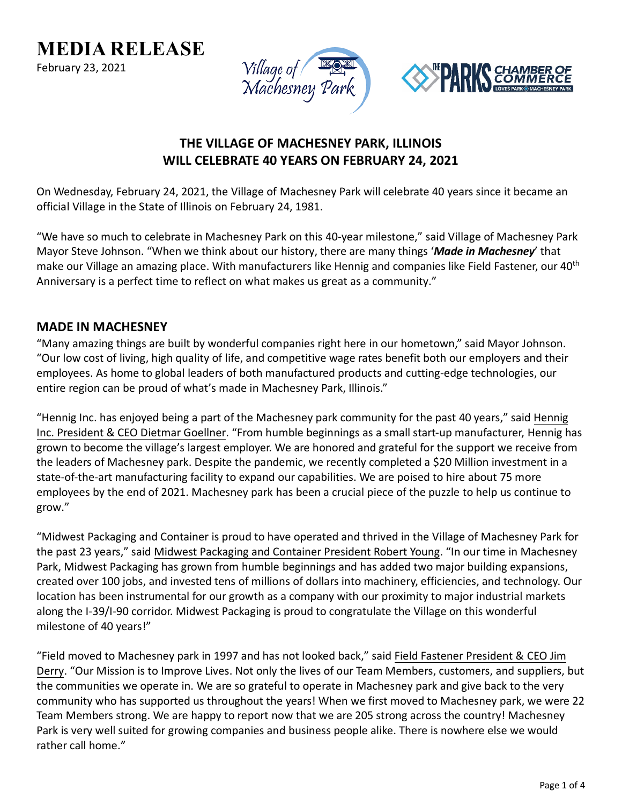**MEDIA RELEASE**

February 23, 2021





# **THE VILLAGE OF MACHESNEY PARK, ILLINOIS WILL CELEBRATE 40 YEARS ON FEBRUARY 24, 2021**

On Wednesday, February 24, 2021, the Village of Machesney Park will celebrate 40 years since it became an official Village in the State of Illinois on February 24, 1981.

"We have so much to celebrate in Machesney Park on this 40-year milestone," said Village of Machesney Park Mayor Steve Johnson. "When we think about our history, there are many things '*Made in Machesney*' that make our Village an amazing place. With manufacturers like Hennig and companies like Field Fastener, our 40<sup>th</sup> Anniversary is a perfect time to reflect on what makes us great as a community."

#### **MADE IN MACHESNEY**

"Many amazing things are built by wonderful companies right here in our hometown," said Mayor Johnson. "Our low cost of living, high quality of life, and competitive wage rates benefit both our employers and their employees. As home to global leaders of both manufactured products and cutting-edge technologies, our entire region can be proud of what's made in Machesney Park, Illinois."

"Hennig Inc. has enjoyed being a part of the Machesney park community for the past 40 years," said Hennig Inc. President & CEO Dietmar Goellner. "From humble beginnings as a small start-up manufacturer, Hennig has grown to become the village's largest employer. We are honored and grateful for the support we receive from the leaders of Machesney park. Despite the pandemic, we recently completed a \$20 Million investment in a state-of-the-art manufacturing facility to expand our capabilities. We are poised to hire about 75 more employees by the end of 2021. Machesney park has been a crucial piece of the puzzle to help us continue to grow."

"Midwest Packaging and Container is proud to have operated and thrived in the Village of Machesney Park for the past 23 years," said Midwest Packaging and Container President Robert Young. "In our time in Machesney Park, Midwest Packaging has grown from humble beginnings and has added two major building expansions, created over 100 jobs, and invested tens of millions of dollars into machinery, efficiencies, and technology. Our location has been instrumental for our growth as a company with our proximity to major industrial markets along the I-39/I-90 corridor. Midwest Packaging is proud to congratulate the Village on this wonderful milestone of 40 years!"

"Field moved to Machesney park in 1997 and has not looked back," said Field Fastener President & CEO Jim Derry. "Our Mission is to Improve Lives. Not only the lives of our Team Members, customers, and suppliers, but the communities we operate in. We are so grateful to operate in Machesney park and give back to the very community who has supported us throughout the years! When we first moved to Machesney park, we were 22 Team Members strong. We are happy to report now that we are 205 strong across the country! Machesney Park is very well suited for growing companies and business people alike. There is nowhere else we would rather call home."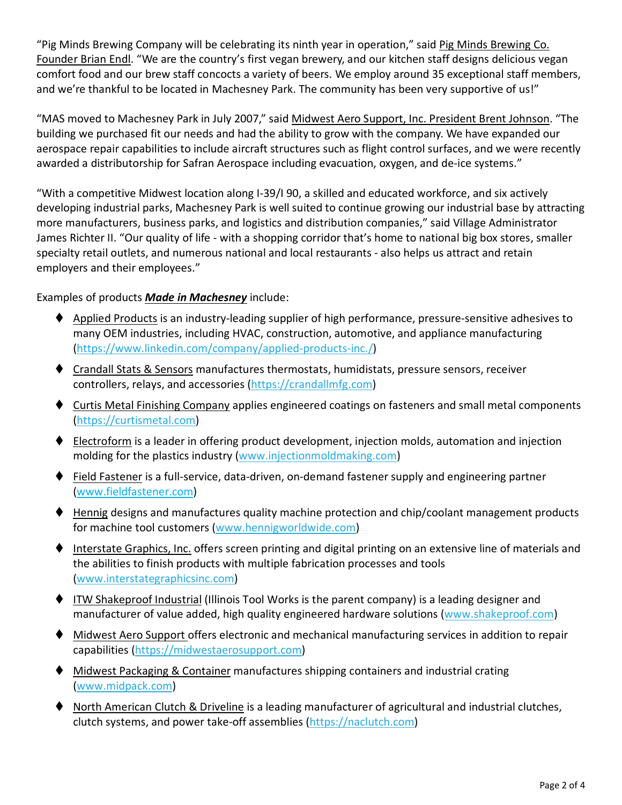"Pig Minds Brewing Company will be celebrating its ninth year in operation," said Pig Minds Brewing Co. Founder Brian Endl. "We are the country's first vegan brewery, and our kitchen staff designs delicious vegan comfort food and our brew staff concocts a variety of beers. We employ around 35 exceptional staff members, and we're thankful to be located in Machesney Park. The community has been very supportive of us!"

"MAS moved to Machesney Park in July 2007," said Midwest Aero Support, Inc. President Brent Johnson. "The building we purchased fit our needs and had the ability to grow with the company. We have expanded our aerospace repair capabilities to include aircraft structures such as flight control surfaces, and we were recently awarded a distributorship for Safran Aerospace including evacuation, oxygen, and de-ice systems."

"With a competitive Midwest location along I-39/I 90, a skilled and educated workforce, and six actively developing industrial parks, Machesney Park is well suited to continue growing our industrial base by attracting more manufacturers, business parks, and logistics and distribution companies," said Village Administrator James Richter II. "Our quality of life - with a shopping corridor that's home to national big box stores, smaller specialty retail outlets, and numerous national and local restaurants - also helps us attract and retain employers and their employees."

#### Examples of products *Made in Machesney* include:

- Applied Products is an industry-leading supplier of high performance, pressure-sensitive adhesives to many OEM industries, including HVAC, construction, automotive, and appliance manufacturing [\(https://www.linkedin.com/company/applied-products-inc./\)](https://www.linkedin.com/company/applied-products-inc./)
- Crandall Stats & Sensors manufactures thermostats, humidistats, pressure sensors, receiver controllers, relays, and accessories [\(https://crandallmfg.com\)](https://crandallmfg.com/)
- ♦ Curtis Metal Finishing Company applies engineered coatings on fasteners and small metal components [\(https://curtismetal.com\)](https://curtismetal.com/)
- $\blacklozenge$  Electroform is a leader in offering product development, injection molds, automation and injection molding for the plastics industry [\(www.injectionmoldmaking.com\)](http://www.injectionmoldmaking.com/)
- ◆ Field Fastener is a full-service, data-driven, on-demand fastener supply and engineering partner [\(www.fieldfastener.com\)](http://www.fieldfastener.com/)
- ♦ Hennig designs and manufactures quality machine protection and chip/coolant management products for machine tool customers [\(www.hennigworldwide.com\)](http://www.hennigworldwide.com/)
- ♦ Interstate Graphics, Inc. offers screen printing and digital printing on an extensive line of materials and the abilities to finish products with multiple fabrication processes and tools [\(www.interstategraphicsinc.com\)](http://www.interstategraphicsinc.com/)
- ITW Shakeproof Industrial (Illinois Tool Works is the parent company) is a leading designer and manufacturer of value added, high quality engineered hardware solutions [\(www.shakeproof.com\)](http://www.shakeproof.com/)
- Midwest Aero Support offers electronic and mechanical manufacturing services in addition to repair capabilities [\(https://midwestaerosupport.com\)](https://midwestaerosupport.com/)
- ◆ Midwest Packaging & Container manufactures shipping containers and industrial crating [\(www.midpack.com\)](http://www.midpack.com/)
- North American Clutch & Driveline is a leading manufacturer of agricultural and industrial clutches, clutch systems, and power take-off assemblies [\(https://naclutch.com\)](https://naclutch.com/)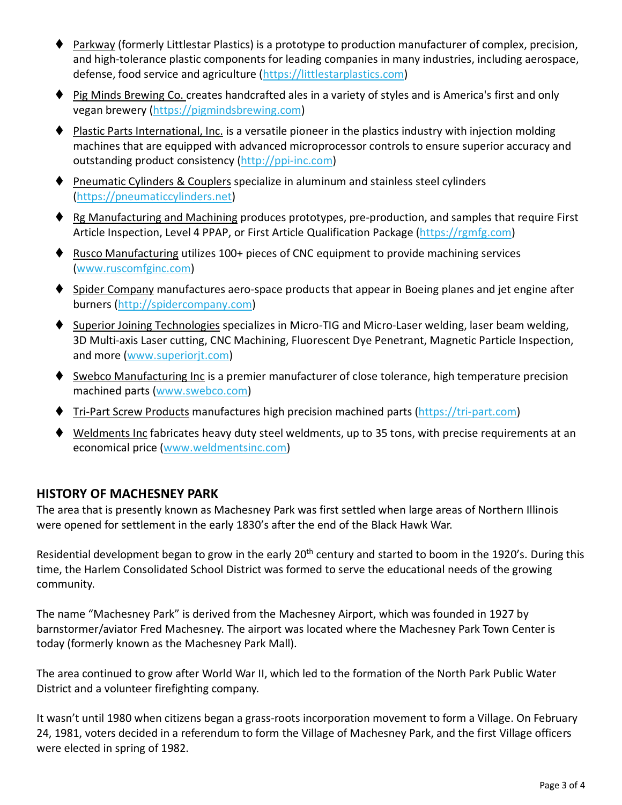- Parkway (formerly Littlestar Plastics) is a prototype to production manufacturer of complex, precision, and high-tolerance plastic components for leading companies in many industries, including aerospace, defense, food service and agriculture [\(https://littlestarplastics.com\)](https://littlestarplastics.com/)
- ◆ Pig Minds Brewing Co. creates handcrafted ales in a variety of styles and is America's first and only vegan brewery [\(https://pigmindsbrewing.com\)](https://pigmindsbrewing.com/)
- ♦ Plastic Parts International, Inc. is a versatile pioneer in the plastics industry with injection molding machines that are equipped with advanced microprocessor controls to ensure superior accuracy and outstanding product consistency [\(http://ppi-inc.com\)](http://ppi-inc.com/)
- **PILE PREUMATE:** Cylinders & Couplers specialize in aluminum and stainless steel cylinders [\(https://pneumaticcylinders.net\)](https://pneumaticcylinders.net/)
- $\blacklozenge$  Rg Manufacturing and Machining produces prototypes, pre-production, and samples that require First Article Inspection, Level 4 PPAP, or First Article Qualification Package [\(https://rgmfg.com\)](https://rgmfg.com/)
- ♦ Rusco Manufacturing utilizes 100+ pieces of CNC equipment to provide machining services [\(www.ruscomfginc.com\)](http://www.ruscomfginc.com/)
- ◆ Spider Company manufactures aero-space products that appear in Boeing planes and jet engine after burners [\(http://spidercompany.com\)](http://spidercompany.com/)
- ♦ Superior Joining Technologies specializes in Micro-TIG and Micro-Laser welding, laser beam welding, 3D Multi-axis Laser cutting, CNC Machining, Fluorescent Dye Penetrant, Magnetic Particle Inspection, and more [\(www.superiorjt.com\)](http://www.superiorjt.com/)
- ♦ Swebco Manufacturing Inc is a premier manufacturer of close tolerance, high temperature precision machined parts [\(www.swebco.com\)](http://www.swebco.com/)
- ♦ Tri-Part Screw Products manufactures high precision machined parts [\(https://tri-part.com\)](https://tri-part.com/)
- Weldments Inc fabricates heavy duty steel weldments, up to 35 tons, with precise requirements at an economical price [\(www.weldmentsinc.com\)](http://www.weldmentsinc.com/)

## **HISTORY OF MACHESNEY PARK**

The area that is presently known as Machesney Park was first settled when large areas of Northern Illinois were opened for settlement in the early 1830's after the end of the Black Hawk War.

Residential development began to grow in the early 20<sup>th</sup> century and started to boom in the 1920's. During this time, the Harlem Consolidated School District was formed to serve the educational needs of the growing community.

The name "Machesney Park" is derived from the Machesney Airport, which was founded in 1927 by barnstormer/aviator Fred Machesney. The airport was located where the Machesney Park Town Center is today (formerly known as the Machesney Park Mall).

The area continued to grow after World War II, which led to the formation of the North Park Public Water District and a volunteer firefighting company.

It wasn't until 1980 when citizens began a grass-roots incorporation movement to form a Village. On February 24, 1981, voters decided in a referendum to form the Village of Machesney Park, and the first Village officers were elected in spring of 1982.